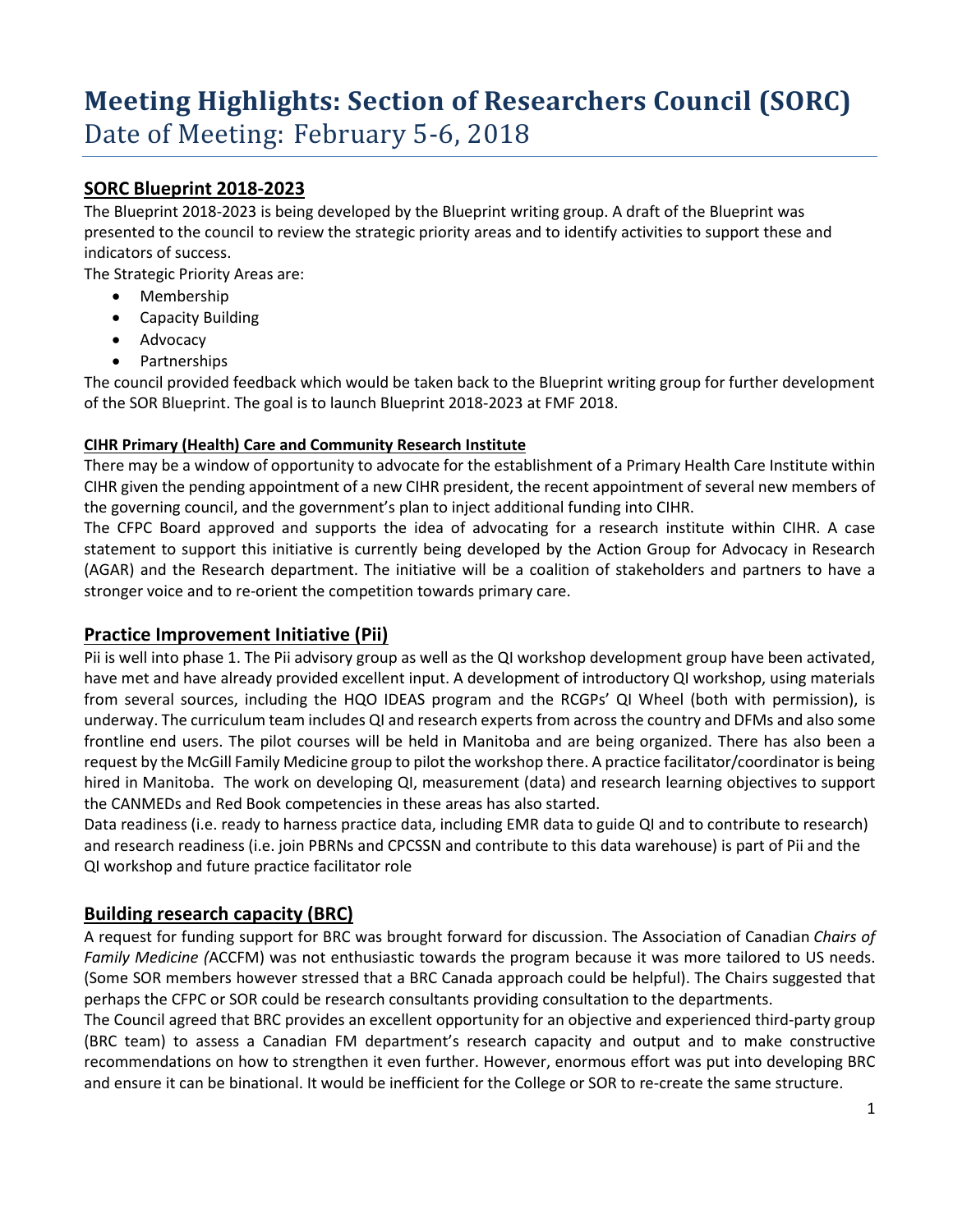# **Meeting Highlights: Section of Researchers Council (SORC)** Date of Meeting: February 5-6, 2018

## **SORC Blueprint 2018-2023**

The Blueprint 2018-2023 is being developed by the Blueprint writing group. A draft of the Blueprint was presented to the council to review the strategic priority areas and to identify activities to support these and indicators of success.

The Strategic Priority Areas are:

- Membership
- Capacity Building
- Advocacy
- Partnerships

The council provided feedback which would be taken back to the Blueprint writing group for further development of the SOR Blueprint. The goal is to launch Blueprint 2018-2023 at FMF 2018.

#### **CIHR Primary (Health) Care and Community Research Institute**

There may be a window of opportunity to advocate for the establishment of a Primary Health Care Institute within CIHR given the pending appointment of a new CIHR president, the recent appointment of several new members of the governing council, and the government's plan to inject additional funding into CIHR.

The CFPC Board approved and supports the idea of advocating for a research institute within CIHR. A case statement to support this initiative is currently being developed by the Action Group for Advocacy in Research (AGAR) and the Research department. The initiative will be a coalition of stakeholders and partners to have a stronger voice and to re-orient the competition towards primary care.

### **Practice Improvement Initiative (Pii)**

Pii is well into phase 1. The Pii advisory group as well as the QI workshop development group have been activated, have met and have already provided excellent input. A development of introductory QI workshop, using materials from several sources, including the HQO IDEAS program and the RCGPs' QI Wheel (both with permission), is underway. The curriculum team includes QI and research experts from across the country and DFMs and also some frontline end users. The pilot courses will be held in Manitoba and are being organized. There has also been a request by the McGill Family Medicine group to pilot the workshop there. A practice facilitator/coordinator is being hired in Manitoba. The work on developing QI, measurement (data) and research learning objectives to support the CANMEDs and Red Book competencies in these areas has also started.

Data readiness (i.e. ready to harness practice data, including EMR data to guide QI and to contribute to research) and research readiness (i.e. join PBRNs and CPCSSN and contribute to this data warehouse) is part of Pii and the QI workshop and future practice facilitator role

## **Building research capacity (BRC)**

A request for funding support for BRC was brought forward for discussion. The Association of Canadian *Chairs of Family Medicine (*ACCFM) was not enthusiastic towards the program because it was more tailored to US needs. (Some SOR members however stressed that a BRC Canada approach could be helpful). The Chairs suggested that perhaps the CFPC or SOR could be research consultants providing consultation to the departments.

The Council agreed that BRC provides an excellent opportunity for an objective and experienced third-party group (BRC team) to assess a Canadian FM department's research capacity and output and to make constructive recommendations on how to strengthen it even further. However, enormous effort was put into developing BRC and ensure it can be binational. It would be inefficient for the College or SOR to re-create the same structure.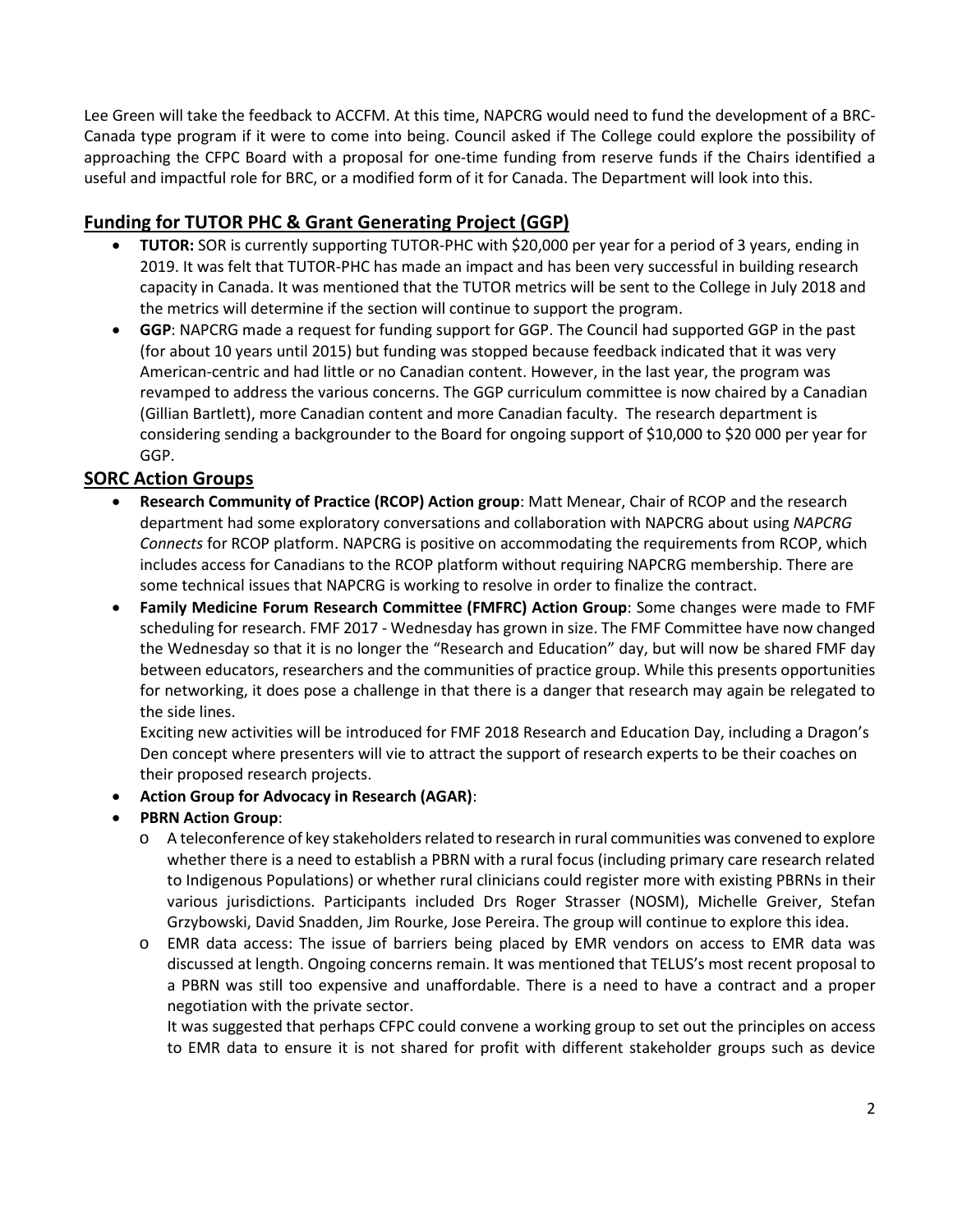Lee Green will take the feedback to ACCFM. At this time, NAPCRG would need to fund the development of a BRC-Canada type program if it were to come into being. Council asked if The College could explore the possibility of approaching the CFPC Board with a proposal for one-time funding from reserve funds if the Chairs identified a useful and impactful role for BRC, or a modified form of it for Canada. The Department will look into this.

# **Funding for TUTOR PHC & Grant Generating Project (GGP)**

- **TUTOR:** SOR is currently supporting TUTOR-PHC with \$20,000 per year for a period of 3 years, ending in 2019. It was felt that TUTOR-PHC has made an impact and has been very successful in building research capacity in Canada. It was mentioned that the TUTOR metrics will be sent to the College in July 2018 and the metrics will determine if the section will continue to support the program.
- **GGP**: NAPCRG made a request for funding support for GGP. The Council had supported GGP in the past (for about 10 years until 2015) but funding was stopped because feedback indicated that it was very American-centric and had little or no Canadian content. However, in the last year, the program was revamped to address the various concerns. The GGP curriculum committee is now chaired by a Canadian (Gillian Bartlett), more Canadian content and more Canadian faculty. The research department is considering sending a backgrounder to the Board for ongoing support of \$10,000 to \$20 000 per year for GGP.

# **SORC Action Groups**

- **Research Community of Practice (RCOP) Action group**: Matt Menear, Chair of RCOP and the research department had some exploratory conversations and collaboration with NAPCRG about using *NAPCRG Connects* for RCOP platform. NAPCRG is positive on accommodating the requirements from RCOP, which includes access for Canadians to the RCOP platform without requiring NAPCRG membership. There are some technical issues that NAPCRG is working to resolve in order to finalize the contract.
- **Family Medicine Forum Research Committee (FMFRC) Action Group**: Some changes were made to FMF scheduling for research. FMF 2017 - Wednesday has grown in size. The FMF Committee have now changed the Wednesday so that it is no longer the "Research and Education" day, but will now be shared FMF day between educators, researchers and the communities of practice group. While this presents opportunities for networking, it does pose a challenge in that there is a danger that research may again be relegated to the side lines.

Exciting new activities will be introduced for FMF 2018 Research and Education Day, including a Dragon's Den concept where presenters will vie to attract the support of research experts to be their coaches on their proposed research projects.

- **Action Group for Advocacy in Research (AGAR)**:
- **PBRN Action Group**:
	- o A teleconference of key stakeholders related to research in rural communities was convened to explore whether there is a need to establish a PBRN with a rural focus (including primary care research related to Indigenous Populations) or whether rural clinicians could register more with existing PBRNs in their various jurisdictions. Participants included Drs Roger Strasser (NOSM), Michelle Greiver, Stefan Grzybowski, David Snadden, Jim Rourke, Jose Pereira. The group will continue to explore this idea.
	- o EMR data access: The issue of barriers being placed by EMR vendors on access to EMR data was discussed at length. Ongoing concerns remain. It was mentioned that TELUS's most recent proposal to a PBRN was still too expensive and unaffordable. There is a need to have a contract and a proper negotiation with the private sector.

It was suggested that perhaps CFPC could convene a working group to set out the principles on access to EMR data to ensure it is not shared for profit with different stakeholder groups such as device